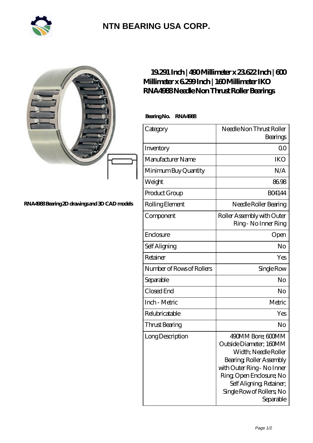

## **[NTN BEARING USA CORP.](https://m.2rw-antriebselemente.de)**

|                                              | $19291$ Inch   $490$ Millimeter x $23622$ Inch   $600$<br>Millimeter x 6299Inch   160Millimeter IKO<br>RNA4988Needle Non Thrust Roller Bearings |                                                                                                                                                                                                                                 |
|----------------------------------------------|-------------------------------------------------------------------------------------------------------------------------------------------------|---------------------------------------------------------------------------------------------------------------------------------------------------------------------------------------------------------------------------------|
|                                              | <b>Bearing No.</b><br><b>RNA4988</b>                                                                                                            |                                                                                                                                                                                                                                 |
|                                              | Category                                                                                                                                        | Needle Non Thrust Roller<br>Bearings                                                                                                                                                                                            |
|                                              | Inventory                                                                                                                                       | 0 <sup>0</sup>                                                                                                                                                                                                                  |
|                                              | Manufacturer Name                                                                                                                               | <b>IKO</b>                                                                                                                                                                                                                      |
|                                              | Minimum Buy Quantity                                                                                                                            | N/A                                                                                                                                                                                                                             |
|                                              | Weight                                                                                                                                          | 86.98                                                                                                                                                                                                                           |
|                                              | Product Group                                                                                                                                   | <b>BO4144</b>                                                                                                                                                                                                                   |
| RNA4988Bearing 2D drawings and 3D CAD models | Rolling Element                                                                                                                                 | Needle Roller Bearing                                                                                                                                                                                                           |
|                                              | Component                                                                                                                                       | Roller Assembly with Outer<br>Ring - No Inner Ring                                                                                                                                                                              |
|                                              | Enclosure                                                                                                                                       | Open                                                                                                                                                                                                                            |
|                                              | Self Aligning                                                                                                                                   | No                                                                                                                                                                                                                              |
|                                              | Retainer                                                                                                                                        | Yes                                                                                                                                                                                                                             |
|                                              | Number of Rows of Rollers                                                                                                                       | Single Row                                                                                                                                                                                                                      |
|                                              | Separable                                                                                                                                       | No                                                                                                                                                                                                                              |
|                                              | Closed End                                                                                                                                      | No                                                                                                                                                                                                                              |
|                                              | Inch - Metric                                                                                                                                   | Metric                                                                                                                                                                                                                          |
|                                              | Relubricatable                                                                                                                                  | Yes                                                                                                                                                                                                                             |
|                                              | <b>Thrust Bearing</b>                                                                                                                           | No                                                                                                                                                                                                                              |
|                                              | Long Description                                                                                                                                | 490MM Bore; 600MM<br>Outside Diameter; 160MM<br>Width; Needle Roller<br>Bearing, Roller Assembly<br>with Outer Ring - No Inner<br>Ring Open Enclosure; No<br>Self Aligning, Retainer,<br>Single Row of Rollers, No<br>Separable |